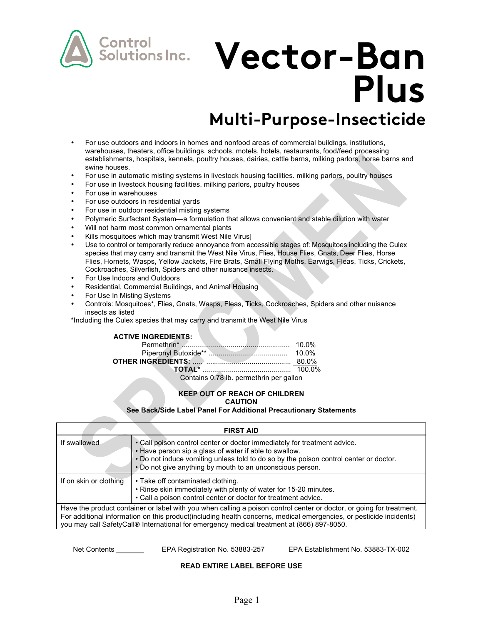

# **Vector-Ban Plus**

# **Multi-Purpose-Insecticide**

- For use outdoors and indoors in homes and nonfood areas of commercial buildings, institutions, warehouses, theaters, office buildings, schools, motels, hotels, restaurants, food/feed processing establishments, hospitals, kennels, poultry houses, dairies, cattle barns, milking parlors, horse barns and swine houses.
- For use in automatic misting systems in livestock housing facilities. milking parlors, poultry houses
- For use in livestock housing facilities. milking parlors, poultry houses
- For use in warehouses
- For use outdoors in residential yards
- For use in outdoor residential misting systems
- Polymeric Surfactant System—a formulation that allows convenient and stable dilution with water
- Will not harm most common ornamental plants
- Kills mosquitoes which may transmit West Nile Virus]
- Use to control or temporarily reduce annoyance from accessible stages of: Mosquitoes including the Culex species that may carry and transmit the West Nile Virus, Flies, House Flies, Gnats, Deer Flies, Horse Flies, Hornets, Wasps, Yellow Jackets, Fire Brats, Small Flying Moths, Earwigs, Fleas, Ticks, Crickets, Cockroaches, Silverfish, Spiders and other nuisance insects.
- For Use Indoors and Outdoors
- Residential, Commercial Buildings, and Animal Housing
- For Use In Misting Systems
- Controls: Mosquitoes\*, Flies, Gnats, Wasps, Fleas, Ticks, Cockroaches, Spiders and other nuisance insects as listed

\*Including the Culex species that may carry and transmit the West Nile Virus

#### **ACTIVE INGREDIENTS:**

| $O = 4 + 1 = 0.70$ He is consistent as a signal set |  |
|-----------------------------------------------------|--|

Contains 0.78 lb. permethrin per gallon

#### **KEEP OUT OF REACH OF CHILDREN CAUTION**

**See Back/Side Label Panel For Additional Precautionary Statements**

| <b>FIRST AID</b>                                                                                                                                                                                                                                                                                                                         |                                                                                                                                                                                                                                                                                          |  |
|------------------------------------------------------------------------------------------------------------------------------------------------------------------------------------------------------------------------------------------------------------------------------------------------------------------------------------------|------------------------------------------------------------------------------------------------------------------------------------------------------------------------------------------------------------------------------------------------------------------------------------------|--|
| If swallowed                                                                                                                                                                                                                                                                                                                             | . Call poison control center or doctor immediately for treatment advice.<br>. Have person sip a glass of water if able to swallow.<br>. Do not induce vomiting unless told to do so by the poison control center or doctor.<br>. Do not give anything by mouth to an unconscious person. |  |
| If on skin or clothing                                                                                                                                                                                                                                                                                                                   | • Take off contaminated clothing.<br>. Rinse skin immediately with plenty of water for 15-20 minutes.<br>• Call a poison control center or doctor for treatment advice.                                                                                                                  |  |
| Have the product container or label with you when calling a poison control center or doctor, or going for treatment.<br>For additional information on this product (including health concerns, medical emergencies, or pesticide incidents)<br>you may call SafetyCall® International for emergency medical treatment at (866) 897-8050. |                                                                                                                                                                                                                                                                                          |  |

Net Contents **EPA Registration No. 53883-257** EPA Establishment No. 53883-TX-002

# **READ ENTIRE LABEL BEFORE USE**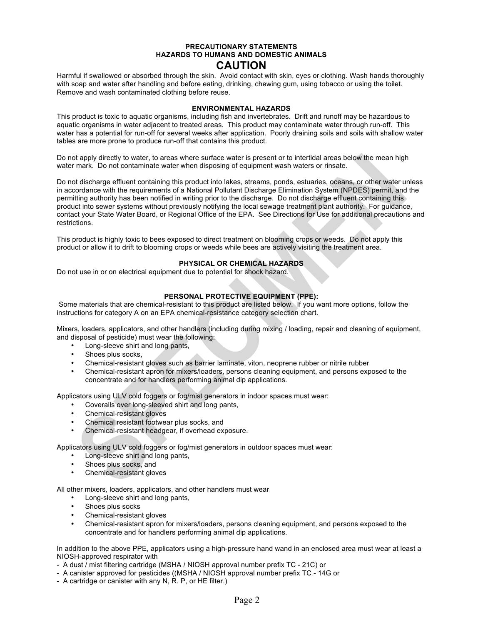## **PRECAUTIONARY STATEMENTS HAZARDS TO HUMANS AND DOMESTIC ANIMALS CAUTION**

Harmful if swallowed or absorbed through the skin. Avoid contact with skin, eyes or clothing. Wash hands thoroughly with soap and water after handling and before eating, drinking, chewing gum, using tobacco or using the toilet. Remove and wash contaminated clothing before reuse.

#### **ENVIRONMENTAL HAZARDS**

This product is toxic to aquatic organisms, including fish and invertebrates. Drift and runoff may be hazardous to aquatic organisms in water adjacent to treated areas. This product may contaminate water through run-off. This water has a potential for run-off for several weeks after application. Poorly draining soils and soils with shallow water tables are more prone to produce run-off that contains this product.

Do not apply directly to water, to areas where surface water is present or to intertidal areas below the mean high water mark. Do not contaminate water when disposing of equipment wash waters or rinsate.

Do not discharge effluent containing this product into lakes, streams, ponds, estuaries, oceans, or other water unless in accordance with the requirements of a National Pollutant Discharge Elimination System (NPDES) permit, and the permitting authority has been notified in writing prior to the discharge. Do not discharge effluent containing this product into sewer systems without previously notifying the local sewage treatment plant authority. For guidance, contact your State Water Board, or Regional Office of the EPA. See Directions for Use for additional precautions and restrictions.

This product is highly toxic to bees exposed to direct treatment on blooming crops or weeds. Do not apply this product or allow it to drift to blooming crops or weeds while bees are actively visiting the treatment area.

### **PHYSICAL OR CHEMICAL HAZARDS**

Do not use in or on electrical equipment due to potential for shock hazard.

#### **PERSONAL PROTECTIVE EQUIPMENT (PPE):**

Some materials that are chemical-resistant to this product are listed below. If you want more options, follow the instructions for category A on an EPA chemical-resistance category selection chart.

Mixers, loaders, applicators, and other handlers (including during mixing / loading, repair and cleaning of equipment, and disposal of pesticide) must wear the following:

- Long-sleeve shirt and long pants,
- Shoes plus socks.
- Chemical-resistant gloves such as barrier laminate, viton, neoprene rubber or nitrile rubber
- Chemical-resistant apron for mixers/loaders, persons cleaning equipment, and persons exposed to the concentrate and for handlers performing animal dip applications.

Applicators using ULV cold foggers or fog/mist generators in indoor spaces must wear:

- Coveralls over long-sleeved shirt and long pants,
- Chemical-resistant gloves
- Chemical resistant footwear plus socks, and
- Chemical-resistant headgear, if overhead exposure.

Applicators using ULV cold foggers or fog/mist generators in outdoor spaces must wear:

- Long-sleeve shirt and long pants,
- Shoes plus socks, and
- Chemical-resistant gloves

All other mixers, loaders, applicators, and other handlers must wear

- Long-sleeve shirt and long pants,
- Shoes plus socks
- Chemical-resistant gloves
- Chemical-resistant apron for mixers/loaders, persons cleaning equipment, and persons exposed to the concentrate and for handlers performing animal dip applications.

In addition to the above PPE, applicators using a high-pressure hand wand in an enclosed area must wear at least a NIOSH-approved respirator with

- A dust / mist filtering cartridge (MSHA / NIOSH approval number prefix TC 21C) or
- A canister approved for pesticides ((MSHA / NIOSH approval number prefix TC 14G or
- A cartridge or canister with any N, R. P, or HE filter.)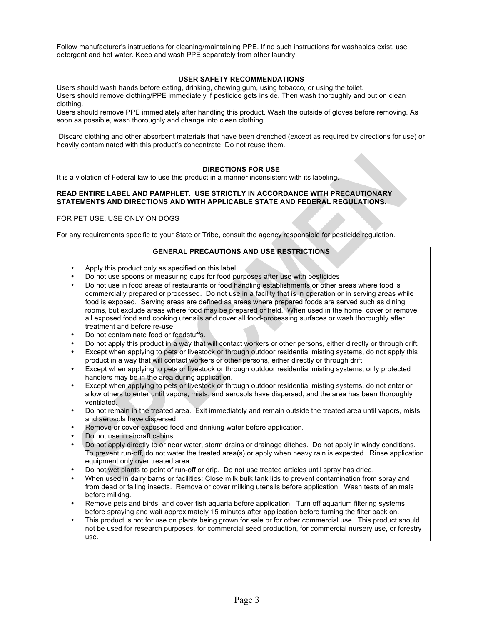Follow manufacturer's instructions for cleaning/maintaining PPE. If no such instructions for washables exist, use detergent and hot water. Keep and wash PPE separately from other laundry.

#### **USER SAFETY RECOMMENDATIONS**

Users should wash hands before eating, drinking, chewing gum, using tobacco, or using the toilet. Users should remove clothing/PPE immediately if pesticide gets inside. Then wash thoroughly and put on clean clothing.

Users should remove PPE immediately after handling this product. Wash the outside of gloves before removing. As soon as possible, wash thoroughly and change into clean clothing.

Discard clothing and other absorbent materials that have been drenched (except as required by directions for use) or heavily contaminated with this product's concentrate. Do not reuse them.

#### **DIRECTIONS FOR USE**

It is a violation of Federal law to use this product in a manner inconsistent with its labeling.

#### **READ ENTIRE LABEL AND PAMPHLET. USE STRICTLY IN ACCORDANCE WITH PRECAUTIONARY STATEMENTS AND DIRECTIONS AND WITH APPLICABLE STATE AND FEDERAL REGULATIONS.**

FOR PET USE, USE ONLY ON DOGS

For any requirements specific to your State or Tribe, consult the agency responsible for pesticide regulation.

#### **GENERAL PRECAUTIONS AND USE RESTRICTIONS**

- Apply this product only as specified on this label.
- Do not use spoons or measuring cups for food purposes after use with pesticides
- Do not use in food areas of restaurants or food handling establishments or other areas where food is commercially prepared or processed. Do not use in a facility that is in operation or in serving areas while food is exposed. Serving areas are defined as areas where prepared foods are served such as dining rooms, but exclude areas where food may be prepared or held. When used in the home, cover or remove all exposed food and cooking utensils and cover all food-processing surfaces or wash thoroughly after treatment and before re-use.
- Do not contaminate food or feedstuffs.
- Do not apply this product in a way that will contact workers or other persons, either directly or through drift.
- Except when applying to pets or livestock or through outdoor residential misting systems, do not apply this product in a way that will contact workers or other persons, either directly or through drift.
- Except when applying to pets or livestock or through outdoor residential misting systems, only protected handlers may be in the area during application.
- Except when applying to pets or livestock or through outdoor residential misting systems, do not enter or allow others to enter until vapors, mists, and aerosols have dispersed, and the area has been thoroughly ventilated.
- Do not remain in the treated area. Exit immediately and remain outside the treated area until vapors, mists and aerosols have dispersed.
- Remove or cover exposed food and drinking water before application.
- Do not use in aircraft cabins.
- Do not apply directly to or near water, storm drains or drainage ditches. Do not apply in windy conditions. To prevent run-off, do not water the treated area(s) or apply when heavy rain is expected. Rinse application equipment only over treated area.
- Do not wet plants to point of run-off or drip. Do not use treated articles until spray has dried.
- When used in dairy barns or facilities: Close milk bulk tank lids to prevent contamination from spray and from dead or falling insects. Remove or cover milking utensils before application. Wash teats of animals before milking.
- Remove pets and birds, and cover fish aquaria before application. Turn off aquarium filtering systems before spraying and wait approximately 15 minutes after application before turning the filter back on.
- This product is not for use on plants being grown for sale or for other commercial use. This product should not be used for research purposes, for commercial seed production, for commercial nursery use, or forestry use.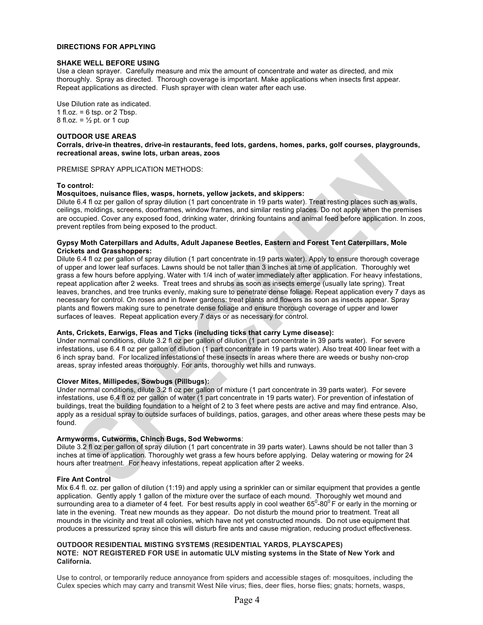#### **DIRECTIONS FOR APPLYING**

#### **SHAKE WELL BEFORE USING**

Use a clean sprayer. Carefully measure and mix the amount of concentrate and water as directed, and mix thoroughly. Spray as directed. Thorough coverage is important. Make applications when insects first appear. Repeat applications as directed. Flush sprayer with clean water after each use.

Use Dilution rate as indicated. 1 fl.oz.  $= 6$  tsp. or 2 Tbsp. 8 fl.oz. =  $\frac{1}{2}$  pt. or 1 cup

#### **OUTDOOR USE AREAS**

**Corrals, drive-in theatres, drive-in restaurants, feed lots, gardens, homes, parks, golf courses, playgrounds, recreational areas, swine lots, urban areas, zoos**

PREMISE SPRAY APPLICATION METHODS:

#### **To control:**

#### **Mosquitoes, nuisance flies, wasps, hornets, yellow jackets, and skippers:**

Dilute 6.4 fl oz per gallon of spray dilution (1 part concentrate in 19 parts water). Treat resting places such as walls, ceilings, moldings, screens, doorframes, window frames, and similar resting places. Do not apply when the premises are occupied. Cover any exposed food, drinking water, drinking fountains and animal feed before application. In zoos, prevent reptiles from being exposed to the product.

#### **Gypsy Moth Caterpillars and Adults, Adult Japanese Beetles, Eastern and Forest Tent Caterpillars, Mole Crickets and Grasshoppers:**

Dilute 6.4 fl oz per gallon of spray dilution (1 part concentrate in 19 parts water). Apply to ensure thorough coverage of upper and lower leaf surfaces. Lawns should be not taller than 3 inches at time of application. Thoroughly wet grass a few hours before applying. Water with 1/4 inch of water immediately after application. For heavy infestations, repeat application after 2 weeks. Treat trees and shrubs as soon as insects emerge (usually late spring). Treat leaves, branches, and tree trunks evenly, making sure to penetrate dense foliage. Repeat application every 7 days as necessary for control. On roses and in flower gardens: treat plants and flowers as soon as insects appear. Spray plants and flowers making sure to penetrate dense foliage and ensure thorough coverage of upper and lower surfaces of leaves. Repeat application every 7 days or as necessary for control.

#### **Ants, Crickets, Earwigs, Fleas and Ticks (including ticks that carry Lyme disease):**

Under normal conditions, dilute 3.2 fl oz per gallon of dilution (1 part concentrate in 39 parts water). For severe infestations, use 6.4 fl oz per gallon of dilution (1 part concentrate in 19 parts water). Also treat 400 linear feet with a 6 inch spray band. For localized infestations of these insects in areas where there are weeds or bushy non-crop areas, spray infested areas thoroughly. For ants, thoroughly wet hills and runways.

#### **Clover Mites, Millipedes, Sowbugs (Pillbugs):**

Under normal conditions, dilute 3.2 fl oz per gallon of mixture (1 part concentrate in 39 parts water). For severe infestations, use 6.4 fl oz per gallon of water (1 part concentrate in 19 parts water). For prevention of infestation of buildings, treat the building foundation to a height of 2 to 3 feet where pests are active and may find entrance. Also, apply as a residual spray to outside surfaces of buildings, patios, garages, and other areas where these pests may be found.

#### **Armyworms, Cutworms, Chinch Bugs, Sod Webworms**:

Dilute 3.2 fl oz per gallon of spray dilution (1 part concentrate in 39 parts water). Lawns should be not taller than 3 inches at time of application. Thoroughly wet grass a few hours before applying. Delay watering or mowing for 24 hours after treatment. For heavy infestations, repeat application after 2 weeks.

#### **Fire Ant Control**

Mix 6.4 fl. oz. per gallon of dilution (1:19) and apply using a sprinkler can or similar equipment that provides a gentle application. Gently apply 1 gallon of the mixture over the surface of each mound. Thoroughly wet mound and surrounding area to a diameter of 4 feet. For best results apply in cool weather 65<sup>0</sup>-80<sup>0</sup> F or early in the morning or late in the evening. Treat new mounds as they appear. Do not disturb the mound prior to treatment. Treat all mounds in the vicinity and treat all colonies, which have not yet constructed mounds. Do not use equipment that produces a pressurized spray since this will disturb fire ants and cause migration, reducing product effectiveness.

#### **OUTDOOR RESIDENTIAL MISTING SYSTEMS (RESIDENTIAL YARDS, PLAYSCAPES) NOTE: NOT REGISTERED FOR USE in automatic ULV misting systems in the State of New York and California.**

Use to control, or temporarily reduce annoyance from spiders and accessible stages of: mosquitoes, including the Culex species which may carry and transmit West Nile virus; flies, deer flies, horse flies; gnats; hornets, wasps,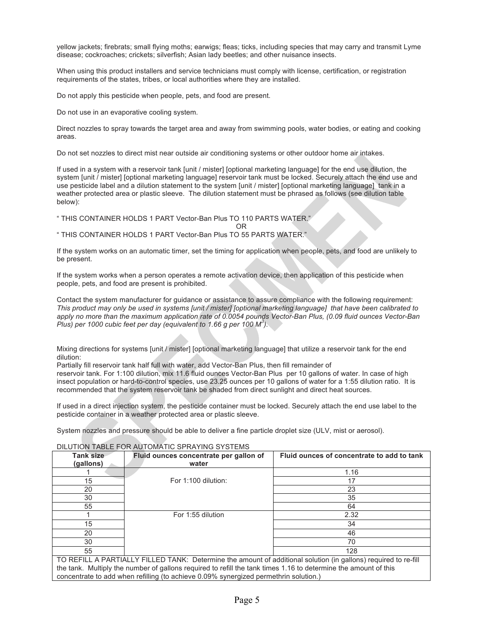yellow jackets; firebrats; small flying moths; earwigs; fleas; ticks, including species that may carry and transmit Lyme disease; cockroaches; crickets; silverfish; Asian lady beetles; and other nuisance insects.

When using this product installers and service technicians must comply with license, certification, or registration requirements of the states, tribes, or local authorities where they are installed.

Do not apply this pesticide when people, pets, and food are present.

Do not use in an evaporative cooling system.

Direct nozzles to spray towards the target area and away from swimming pools, water bodies, or eating and cooking areas.

Do not set nozzles to direct mist near outside air conditioning systems or other outdoor home air intakes.

If used in a system with a reservoir tank [unit / mister] [optional marketing language] for the end use dilution, the system [unit / mister] [optional marketing language] reservoir tank must be locked. Securely attach the end use and use pesticide label and a dilution statement to the system [unit / mister] [optional marketing language] tank in a weather protected area or plastic sleeve. The dilution statement must be phrased as follows (see dilution table below):

" THIS CONTAINER HOLDS 1 PART Vector-Ban Plus TO 110 PARTS WATER."

OR

" THIS CONTAINER HOLDS 1 PART Vector-Ban Plus TO 55 PARTS WATER."

If the system works on an automatic timer, set the timing for application when people, pets, and food are unlikely to be present.

If the system works when a person operates a remote activation device, then application of this pesticide when people, pets, and food are present is prohibited.

Contact the system manufacturer for guidance or assistance to assure compliance with the following requirement: *This product may only be used in systems [unit / mister] [optional marketing language] that have been calibrated to apply no more than the maximum application rate of 0.0054 pounds Vector-Ban Plus, (0.09 fluid ounces Vector-Ban Plus) per 1000 cubic feet per day (equivalent to 1.66 g per 100 M<sup>3</sup> ).*

Mixing directions for systems [unit / mister] [optional marketing language] that utilize a reservoir tank for the end dilution:

Partially fill reservoir tank half full with water, add Vector-Ban Plus, then fill remainder of

reservoir tank. For 1:100 dilution, mix 11.6 fluid ounces Vector-Ban Plus per 10 gallons of water. In case of high insect population or hard-to-control species, use 23.25 ounces per 10 gallons of water for a 1:55 dilution ratio. It is recommended that the system reservoir tank be shaded from direct sunlight and direct heat sources.

If used in a direct injection system, the pesticide container must be locked. Securely attach the end use label to the pesticide container in a weather protected area or plastic sleeve.

System nozzles and pressure should be able to deliver a fine particle droplet size (ULV, mist or aerosol).

| <b>Tank size</b><br>(gallons)                                                                                   | Fluid ounces concentrate per gallon of<br>water | Fluid ounces of concentrate to add to tank |
|-----------------------------------------------------------------------------------------------------------------|-------------------------------------------------|--------------------------------------------|
|                                                                                                                 |                                                 | 1.16                                       |
| 15                                                                                                              | For 1:100 dilution:                             | 17                                         |
| 20                                                                                                              |                                                 | 23                                         |
| 30                                                                                                              |                                                 | 35                                         |
| 55                                                                                                              |                                                 | 64                                         |
|                                                                                                                 | For 1:55 dilution                               | 2.32                                       |
| 15                                                                                                              |                                                 | 34                                         |
| 20                                                                                                              |                                                 | 46                                         |
| 30                                                                                                              |                                                 | 70                                         |
| 55                                                                                                              |                                                 | 128                                        |
| TO REFILL A PARTIALLY FILLED TANK: Determine the amount of additional solution (in gallons) required to re-fill |                                                 |                                            |

#### DILUTION TABLE FOR AUTOMATIC SPRAYING SYSTEMS

TO REFILL A PARTIALLY FILLED TANK: Determine the amount of additional solution (in gallons) required to re-fill the tank. Multiply the number of gallons required to refill the tank times 1.16 to determine the amount of this concentrate to add when refilling (to achieve 0.09% synergized permethrin solution.)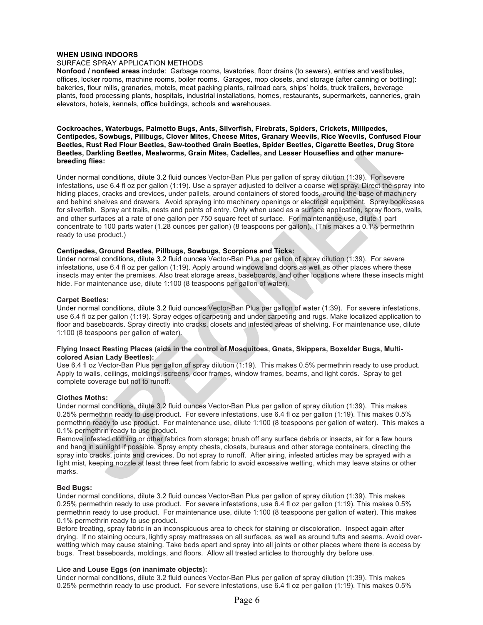#### **WHEN USING INDOORS**

#### SURFACE SPRAY APPLICATION METHODS

**Nonfood / nonfeed areas** include: Garbage rooms, lavatories, floor drains (to sewers), entries and vestibules, offices, locker rooms, machine rooms, boiler rooms. Garages, mop closets, and storage (after canning or bottling): bakeries, flour mills, granaries, motels, meat packing plants, railroad cars, ships' holds, truck trailers, beverage plants, food processing plants, hospitals, industrial installations, homes, restaurants, supermarkets, canneries, grain elevators, hotels, kennels, office buildings, schools and warehouses.

**Cockroaches, Waterbugs, Palmetto Bugs, Ants, Silverfish, Firebrats, Spiders, Crickets, Millipedes, Centipedes, Sowbugs, Pillbugs, Clover Mites, Cheese Mites, Granary Weevils, Rice Weevils, Confused Flour Beetles, Rust Red Flour Beetles, Saw-toothed Grain Beetles, Spider Beetles, Cigarette Beetles, Drug Store Beetles, Darkling Beetles, Mealworms, Grain Mites, Cadelles, and Lesser Houseflies and other manurebreeding flies:**

Under normal conditions, dilute 3.2 fluid ounces Vector-Ban Plus per gallon of spray dilution (1:39). For severe infestations, use 6.4 fl oz per gallon (1:19). Use a sprayer adjusted to deliver a coarse wet spray. Direct the spray into hiding places, cracks and crevices, under pallets, around containers of stored foods, around the base of machinery and behind shelves and drawers. Avoid spraying into machinery openings or electrical equipment. Spray bookcases for silverfish. Spray ant trails, nests and points of entry. Only when used as a surface application, spray floors, walls, and other surfaces at a rate of one gallon per 750 square feet of surface. For maintenance use, dilute 1 part concentrate to 100 parts water (1.28 ounces per gallon) (8 teaspoons per gallon). (This makes a 0.1% permethrin ready to use product.)

#### **Centipedes, Ground Beetles, Pillbugs, Sowbugs, Scorpions and Ticks:**

Under normal conditions, dilute 3.2 fluid ounces Vector-Ban Plus per gallon of spray dilution (1:39). For severe infestations, use 6.4 fl oz per gallon (1:19). Apply around windows and doors as well as other places where these insects may enter the premises. Also treat storage areas, baseboards, and other locations where these insects might hide. For maintenance use, dilute 1:100 (8 teaspoons per gallon of water).

#### **Carpet Beetles:**

Under normal conditions, dilute 3.2 fluid ounces Vector-Ban Plus per gallon of water (1:39). For severe infestations, use 6.4 fl oz per gallon (1:19). Spray edges of carpeting and under carpeting and rugs. Make localized application to floor and baseboards. Spray directly into cracks, closets and infested areas of shelving. For maintenance use, dilute 1:100 (8 teaspoons per gallon of water).

#### **Flying Insect Resting Places (aids in the control of Mosquitoes, Gnats, Skippers, Boxelder Bugs, Multicolored Asian Lady Beetles):**

Use 6.4 fl oz Vector-Ban Plus per gallon of spray dilution (1:19). This makes 0.5% permethrin ready to use product. Apply to walls, ceilings, moldings, screens, door frames, window frames, beams, and light cords. Spray to get complete coverage but not to runoff.

#### **Clothes Moths:**

Under normal conditions, dilute 3.2 fluid ounces Vector-Ban Plus per gallon of spray dilution (1:39). This makes 0.25% permethrin ready to use product. For severe infestations, use 6.4 fl oz per gallon (1:19). This makes 0.5% permethrin ready to use product. For maintenance use, dilute 1:100 (8 teaspoons per gallon of water). This makes a 0.1% permethrin ready to use product.

Remove infested clothing or other fabrics from storage; brush off any surface debris or insects, air for a few hours and hang in sunlight if possible. Spray empty chests, closets, bureaus and other storage containers, directing the spray into cracks, joints and crevices. Do not spray to runoff. After airing, infested articles may be sprayed with a light mist, keeping nozzle at least three feet from fabric to avoid excessive wetting, which may leave stains or other marks.

#### **Bed Bugs:**

Under normal conditions, dilute 3.2 fluid ounces Vector-Ban Plus per gallon of spray dilution (1:39). This makes 0.25% permethrin ready to use product. For severe infestations, use 6.4 fl oz per gallon (1:19). This makes 0.5% permethrin ready to use product. For maintenance use, dilute 1:100 (8 teaspoons per gallon of water). This makes 0.1% permethrin ready to use product.

Before treating, spray fabric in an inconspicuous area to check for staining or discoloration. Inspect again after drying. If no staining occurs, lightly spray mattresses on all surfaces, as well as around tufts and seams. Avoid overwetting which may cause staining. Take beds apart and spray into all joints or other places where there is access by bugs. Treat baseboards, moldings, and floors. Allow all treated articles to thoroughly dry before use.

#### **Lice and Louse Eggs (on inanimate objects):**

Under normal conditions, dilute 3.2 fluid ounces Vector-Ban Plus per gallon of spray dilution (1:39). This makes 0.25% permethrin ready to use product. For severe infestations, use 6.4 fl oz per gallon (1:19). This makes 0.5%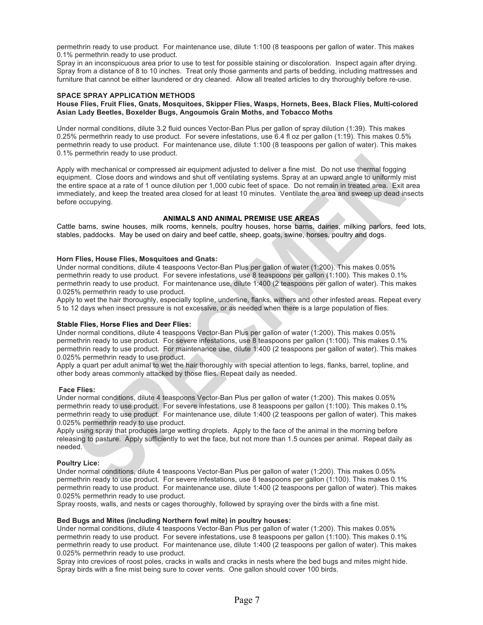permethrin ready to use product. For maintenance use, dilute 1:100 (8 teaspoons per gallon of water. This makes 0.1% permethrin ready to use product.

Spray in an inconspicuous area prior to use to test for possible staining or discoloration. Inspect again after drying. Spray from a distance of 8 to 10 inches. Treat only those garments and parts of bedding, including mattresses and furniture that cannot be either laundered or dry cleaned. Allow all treated articles to dry thoroughly before re-use.

#### **SPACE SPRAY APPLICATION METHODS**

#### **House Flies, Fruit Flies, Gnats, Mosquitoes, Skipper Flies, Wasps, Hornets, Bees, Black Flies, Multi-colored Asian Lady Beetles, Boxelder Bugs, Angoumois Grain Moths, and Tobacco Moths**

Under normal conditions, dilute 3.2 fluid ounces Vector-Ban Plus per gallon of spray dilution (1:39). This makes 0.25% permethrin ready to use product. For severe infestations, use 6.4 fl oz per gallon (1:19). This makes 0.5% permethrin ready to use product. For maintenance use, dilute 1:100 (8 teaspoons per gallon of water). This makes 0.1% permethrin ready to use product.

Apply with mechanical or compressed air equipment adjusted to deliver a fine mist. Do not use thermal fogging equipment. Close doors and windows and shut off ventilating systems. Spray at an upward angle to uniformly mist the entire space at a rate of 1 ounce dilution per 1,000 cubic feet of space. Do not remain in treated area. Exit area immediately, and keep the treated area closed for at least 10 minutes. Ventilate the area and sweep up dead insects before occupying.

#### **ANIMALS AND ANIMAL PREMISE USE AREAS**

Cattle barns, swine houses, milk rooms, kennels, poultry houses, horse barns, dairies, milking parlors, feed lots, stables, paddocks. May be used on dairy and beef cattle, sheep, goats, swine, horses, poultry and dogs.

#### **Horn Flies, House Flies, Mosquitoes and Gnats:**

Under normal conditions, dilute 4 teaspoons Vector-Ban Plus per gallon of water (1:200). This makes 0.05% permethrin ready to use product. For severe infestations, use 8 teaspoons per gallon (1:100). This makes 0.1% permethrin ready to use product. For maintenance use, dilute 1:400 (2 teaspoons per gallon of water). This makes 0.025% permethrin ready to use product.

Apply to wet the hair thoroughly, especially topline, underline, flanks, withers and other infested areas. Repeat every 5 to 12 days when insect pressure is not excessive, or as needed when there is a large population of flies.

#### **Stable Flies, Horse Flies and Deer Flies:**

Under normal conditions, dilute 4 teaspoons Vector-Ban Plus per gallon of water (1:200). This makes 0.05% permethrin ready to use product. For severe infestations, use 8 teaspoons per gallon (1:100). This makes 0.1% permethrin ready to use product. For maintenance use, dilute 1:400 (2 teaspoons per gallon of water). This makes 0.025% permethrin ready to use product.

Apply a quart per adult animal to wet the hair thoroughly with special attention to legs, flanks, barrel, topline, and other body areas commonly attacked by those flies. Repeat daily as needed.

#### **Face Flies:**

Under normal conditions, dilute 4 teaspoons Vector-Ban Plus per gallon of water (1:200). This makes 0.05% permethrin ready to use product. For severe infestations, use 8 teaspoons per gallon (1:100). This makes 0.1% permethrin ready to use product. For maintenance use, dilute 1:400 (2 teaspoons per gallon of water). This makes 0.025% permethrin ready to use product.

Apply using spray that produces large wetting droplets. Apply to the face of the animal in the morning before releasing to pasture. Apply sufficiently to wet the face, but not more than 1.5 ounces per animal. Repeat daily as needed.

#### **Poultry Lice:**

Under normal conditions, dilute 4 teaspoons Vector-Ban Plus per gallon of water (1:200). This makes 0.05% permethrin ready to use product. For severe infestations, use 8 teaspoons per gallon (1:100). This makes 0.1% permethrin ready to use product. For maintenance use, dilute 1:400 (2 teaspoons per gallon of water). This makes 0.025% permethrin ready to use product.

Spray roosts, walls, and nests or cages thoroughly, followed by spraying over the birds with a fine mist.

#### **Bed Bugs and Mites (including Northern fowl mite) in poultry houses:**

Under normal conditions, dilute 4 teaspoons Vector-Ban Plus per gallon of water (1:200). This makes 0.05% permethrin ready to use product. For severe infestations, use 8 teaspoons per gallon (1:100). This makes 0.1% permethrin ready to use product. For maintenance use, dilute 1:400 (2 teaspoons per gallon of water). This makes 0.025% permethrin ready to use product.

Spray into crevices of roost poles, cracks in walls and cracks in nests where the bed bugs and mites might hide. Spray birds with a fine mist being sure to cover vents. One gallon should cover 100 birds.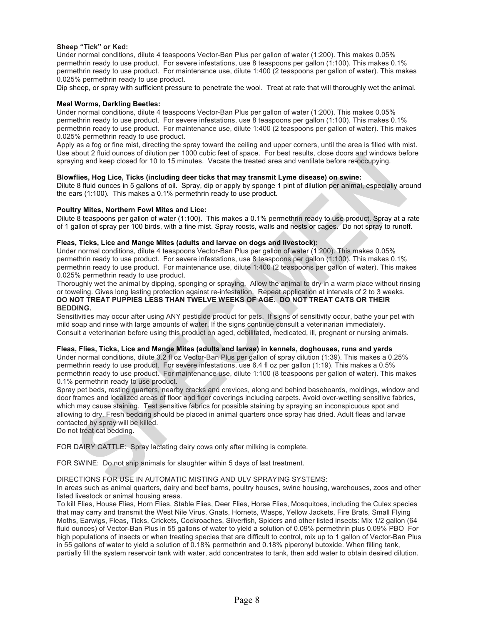#### **Sheep "Tick" or Ked:**

Under normal conditions, dilute 4 teaspoons Vector-Ban Plus per gallon of water (1:200). This makes 0.05% permethrin ready to use product. For severe infestations, use 8 teaspoons per gallon (1:100). This makes 0.1% permethrin ready to use product. For maintenance use, dilute 1:400 (2 teaspoons per gallon of water). This makes 0.025% permethrin ready to use product.

Dip sheep, or spray with sufficient pressure to penetrate the wool. Treat at rate that will thoroughly wet the animal.

#### **Meal Worms, Darkling Beetles:**

Under normal conditions, dilute 4 teaspoons Vector-Ban Plus per gallon of water (1:200). This makes 0.05% permethrin ready to use product. For severe infestations, use 8 teaspoons per gallon (1:100). This makes 0.1% permethrin ready to use product. For maintenance use, dilute 1:400 (2 teaspoons per gallon of water). This makes 0.025% permethrin ready to use product.

Apply as a fog or fine mist, directing the spray toward the ceiling and upper corners, until the area is filled with mist. Use about 2 fluid ounces of dilution per 1000 cubic feet of space. For best results, close doors and windows before spraying and keep closed for 10 to 15 minutes. Vacate the treated area and ventilate before re-occupying.

#### **Blowflies, Hog Lice, Ticks (including deer ticks that may transmit Lyme disease) on swine:**

Dilute 8 fluid ounces in 5 gallons of oil. Spray, dip or apply by sponge 1 pint of dilution per animal, especially around the ears (1:100). This makes a 0.1% permethrin ready to use product.

#### **Poultry Mites, Northern Fowl Mites and Lice:**

Dilute 8 teaspoons per gallon of water (1:100). This makes a 0.1% permethrin ready to use product. Spray at a rate of 1 gallon of spray per 100 birds, with a fine mist. Spray roosts, walls and nests or cages. Do not spray to runoff.

#### **Fleas, Ticks, Lice and Mange Mites (adults and larvae on dogs and livestock):**

Under normal conditions, dilute 4 teaspoons Vector-Ban Plus per gallon of water (1:200). This makes 0.05% permethrin ready to use product. For severe infestations, use 8 teaspoons per gallon (1:100). This makes 0.1% permethrin ready to use product. For maintenance use, dilute 1:400 (2 teaspoons per gallon of water). This makes 0.025% permethrin ready to use product.

Thoroughly wet the animal by dipping, sponging or spraying. Allow the animal to dry in a warm place without rinsing or toweling. Gives long lasting protection against re-infestation. Repeat application at intervals of 2 to 3 weeks. **DO NOT TREAT PUPPIES LESS THAN TWELVE WEEKS OF AGE. DO NOT TREAT CATS OR THEIR BEDDING.**

Sensitivities may occur after using ANY pesticide product for pets. If signs of sensitivity occur, bathe your pet with mild soap and rinse with large amounts of water. If the signs continue consult a veterinarian immediately. Consult a veterinarian before using this product on aged, debilitated, medicated, ill, pregnant or nursing animals.

#### **Fleas, Flies, Ticks, Lice and Mange Mites (adults and larvae) in kennels, doghouses, runs and yards**

Under normal conditions, dilute 3.2 fl oz Vector-Ban Plus per gallon of spray dilution (1:39). This makes a 0.25% permethrin ready to use product. For severe infestations, use 6.4 fl oz per gallon (1:19). This makes a 0.5% permethrin ready to use product. For maintenance use, dilute 1:100 (8 teaspoons per gallon of water). This makes 0.1% permethrin ready to use product.

Spray pet beds, resting quarters, nearby cracks and crevices, along and behind baseboards, moldings, window and door frames and localized areas of floor and floor coverings including carpets. Avoid over-wetting sensitive fabrics, which may cause staining. Test sensitive fabrics for possible staining by spraying an inconspicuous spot and allowing to dry. Fresh bedding should be placed in animal quarters once spray has dried. Adult fleas and larvae contacted by spray will be killed.

Do not treat cat bedding.

FOR DAIRY CATTLE: Spray lactating dairy cows only after milking is complete.

FOR SWINE: Do not ship animals for slaughter within 5 days of last treatment.

#### DIRECTIONS FOR USE IN AUTOMATIC MISTING AND ULV SPRAYING SYSTEMS:

In areas such as animal quarters, dairy and beef barns, poultry houses, swine housing, warehouses, zoos and other listed livestock or animal housing areas.

To kill Flies, House Flies, Horn Flies, Stable Flies, Deer Flies, Horse Flies, Mosquitoes, including the Culex species that may carry and transmit the West Nile Virus, Gnats, Hornets, Wasps, Yellow Jackets, Fire Brats, Small Flying Moths, Earwigs, Fleas, Ticks, Crickets, Cockroaches, Silverfish, Spiders and other listed insects: Mix 1/2 gallon (64 fluid ounces) of Vector-Ban Plus in 55 gallons of water to yield a solution of 0.09% permethrin plus 0.09% PBO For high populations of insects or when treating species that are difficult to control, mix up to 1 gallon of Vector-Ban Plus in 55 gallons of water to yield a solution of 0.18% permethrin and 0.18% piperonyl butoxide. When filling tank, partially fill the system reservoir tank with water, add concentrates to tank, then add water to obtain desired dilution.